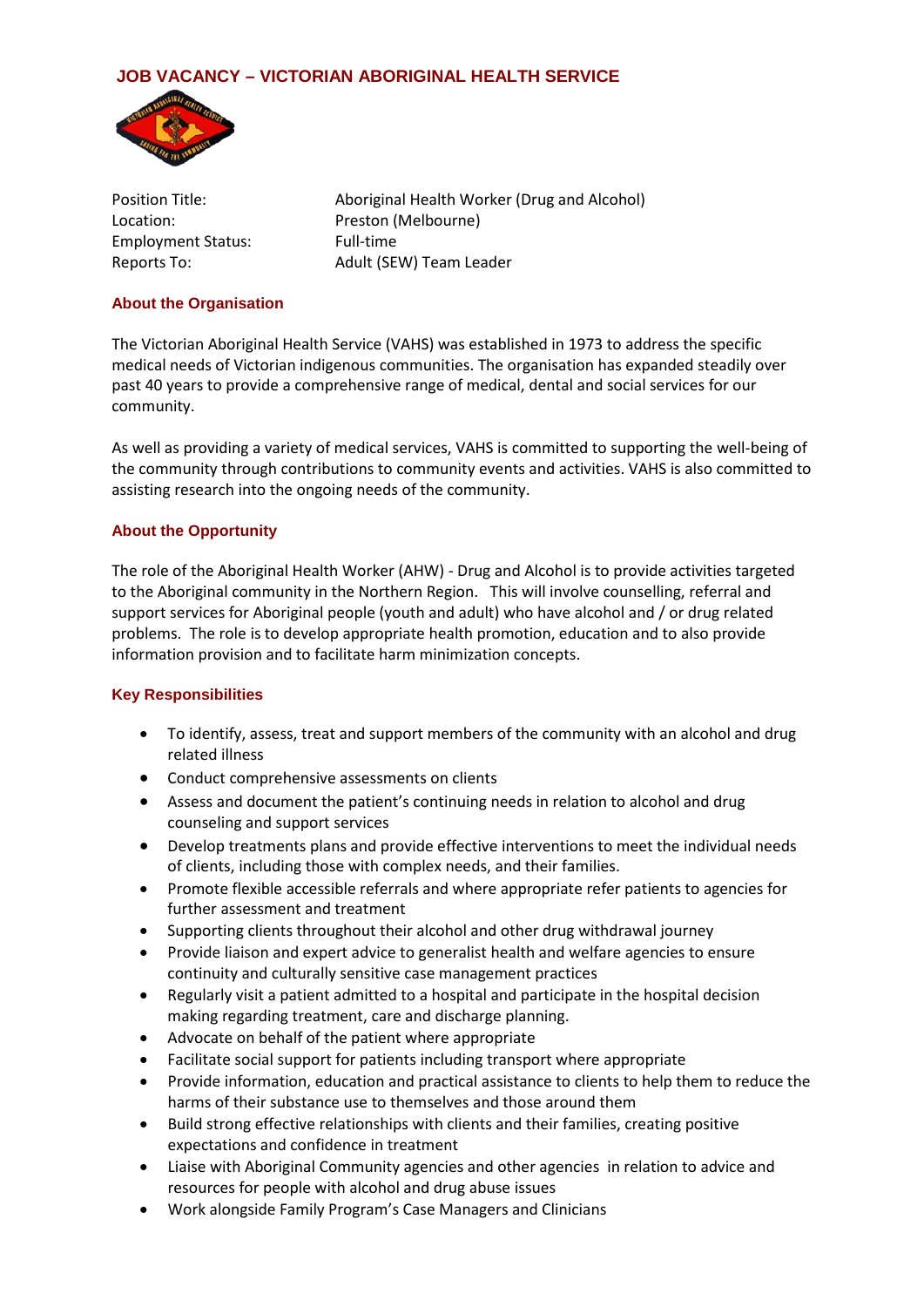# **JOB VACANCY – VICTORIAN ABORIGINAL HEALTH SERVICE**



Employment Status: Full-time

Position Title: Aboriginal Health Worker (Drug and Alcohol) Location: Preston (Melbourne) Reports To: Adult (SEW) Team Leader

### **About the Organisation**

The Victorian Aboriginal Health Service (VAHS) was established in 1973 to address the specific medical needs of Victorian indigenous communities. The organisation has expanded steadily over past 40 years to provide a comprehensive range of medical, dental and social services for our community.

As well as providing a variety of medical services, VAHS is committed to supporting the well-being of the community through contributions to community events and activities. VAHS is also committed to assisting research into the ongoing needs of the community.

## **About the Opportunity**

The role of the Aboriginal Health Worker (AHW) - Drug and Alcohol is to provide activities targeted to the Aboriginal community in the Northern Region. This will involve counselling, referral and support services for Aboriginal people (youth and adult) who have alcohol and / or drug related problems. The role is to develop appropriate health promotion, education and to also provide information provision and to facilitate harm minimization concepts.

#### **Key Responsibilities**

- To identify, assess, treat and support members of the community with an alcohol and drug related illness
- Conduct comprehensive assessments on clients
- Assess and document the patient's continuing needs in relation to alcohol and drug counseling and support services
- Develop treatments plans and provide effective interventions to meet the individual needs of clients, including those with complex needs, and their families.
- Promote flexible accessible referrals and where appropriate refer patients to agencies for further assessment and treatment
- Supporting clients throughout their alcohol and other drug withdrawal journey
- Provide liaison and expert advice to generalist health and welfare agencies to ensure continuity and culturally sensitive case management practices
- Regularly visit a patient admitted to a hospital and participate in the hospital decision making regarding treatment, care and discharge planning.
- Advocate on behalf of the patient where appropriate
- Facilitate social support for patients including transport where appropriate
- Provide information, education and practical assistance to clients to help them to reduce the harms of their substance use to themselves and those around them
- Build strong effective relationships with clients and their families, creating positive expectations and confidence in treatment
- Liaise with Aboriginal Community agencies and other agencies in relation to advice and resources for people with alcohol and drug abuse issues
- Work alongside Family Program's Case Managers and Clinicians